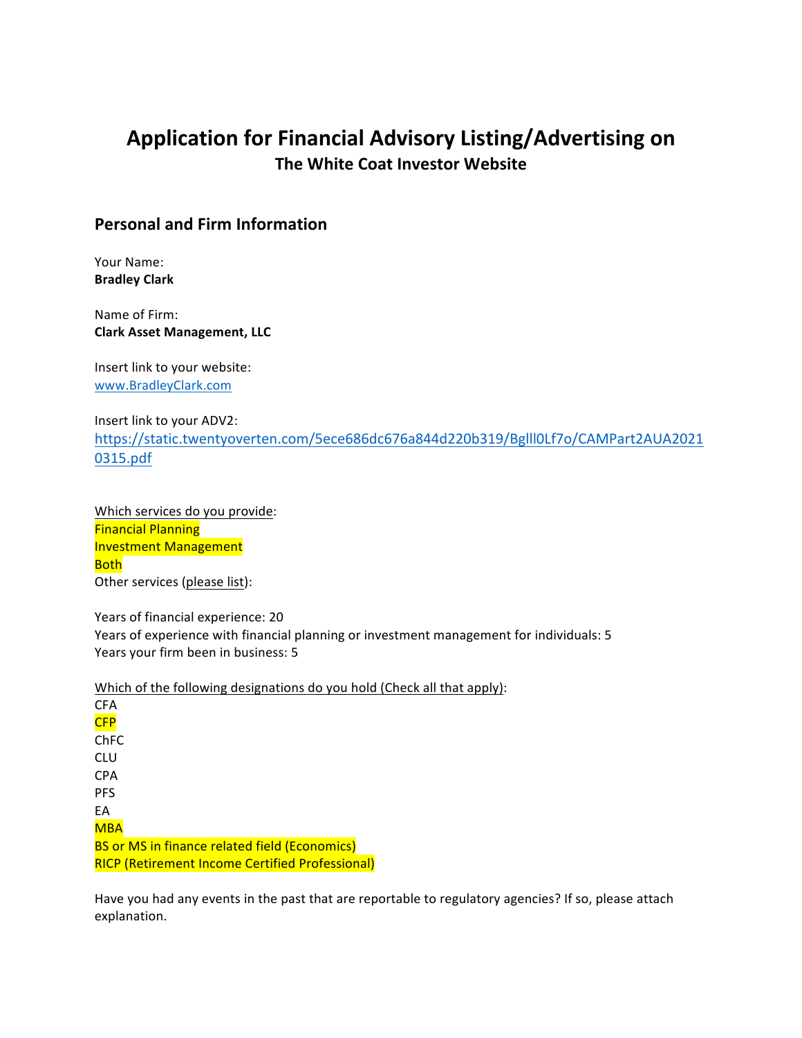# Application for Financial Advisory Listing/Advertising on **The White Coat Investor Website**

### **Personal and Firm Information**

Your Name: **Bradley Clark**

Name of Firm: **Clark Asset Management, LLC**

Insert link to your website: www.BradleyClark.com

#### Insert link to your ADV2:

https://static.twentyoverten.com/5ece686dc676a844d220b319/Bglll0Lf7o/CAMPart2AUA2021 0315.pdf

Which services do you provide: **Financial Planning Investment Management** Both Other services (please list):

Years of financial experience: 20 Years of experience with financial planning or investment management for individuals: 5 Years your firm been in business: 5

Which of the following designations do you hold (Check all that apply):

| CFA                                                    |
|--------------------------------------------------------|
| <b>CFP</b>                                             |
| ChFC                                                   |
| CLU                                                    |
| CPA                                                    |
| <b>PFS</b>                                             |
| EА                                                     |
| <b>MBA</b>                                             |
| <b>BS or MS in finance related field (Economics)</b>   |
| <b>RICP (Retirement Income Certified Professional)</b> |

Have you had any events in the past that are reportable to regulatory agencies? If so, please attach explanation.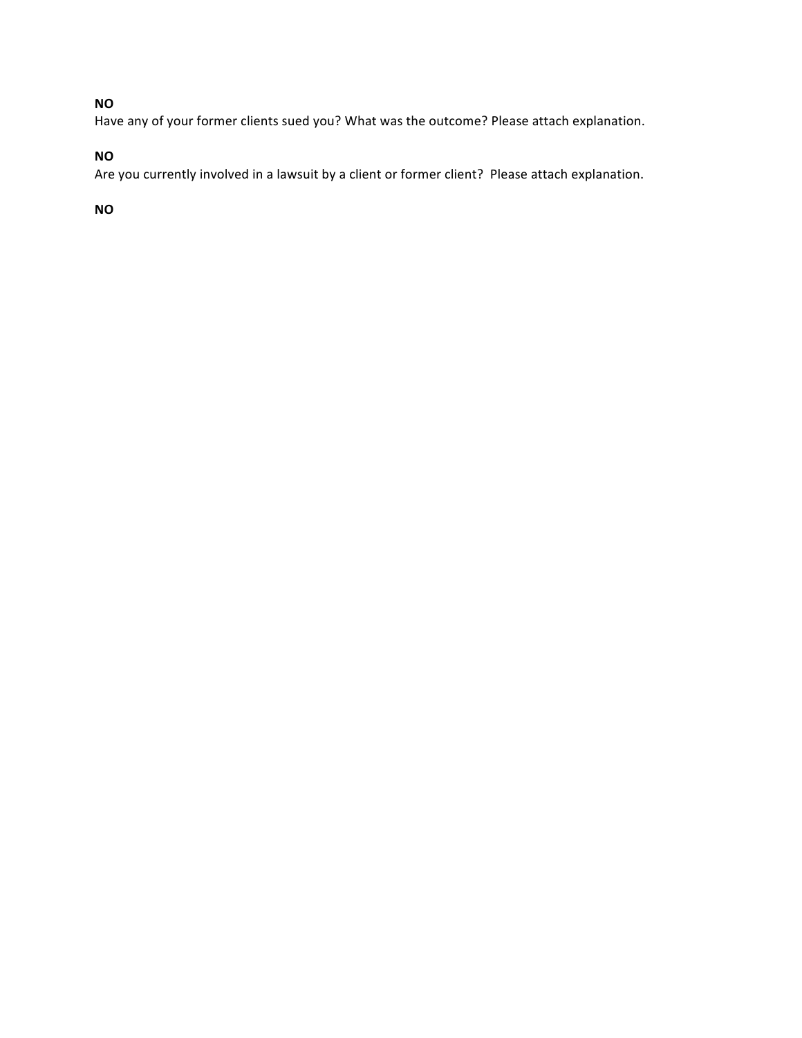# **NO**

Have any of your former clients sued you? What was the outcome? Please attach explanation.

### **NO**

Are you currently involved in a lawsuit by a client or former client? Please attach explanation.

### **NO**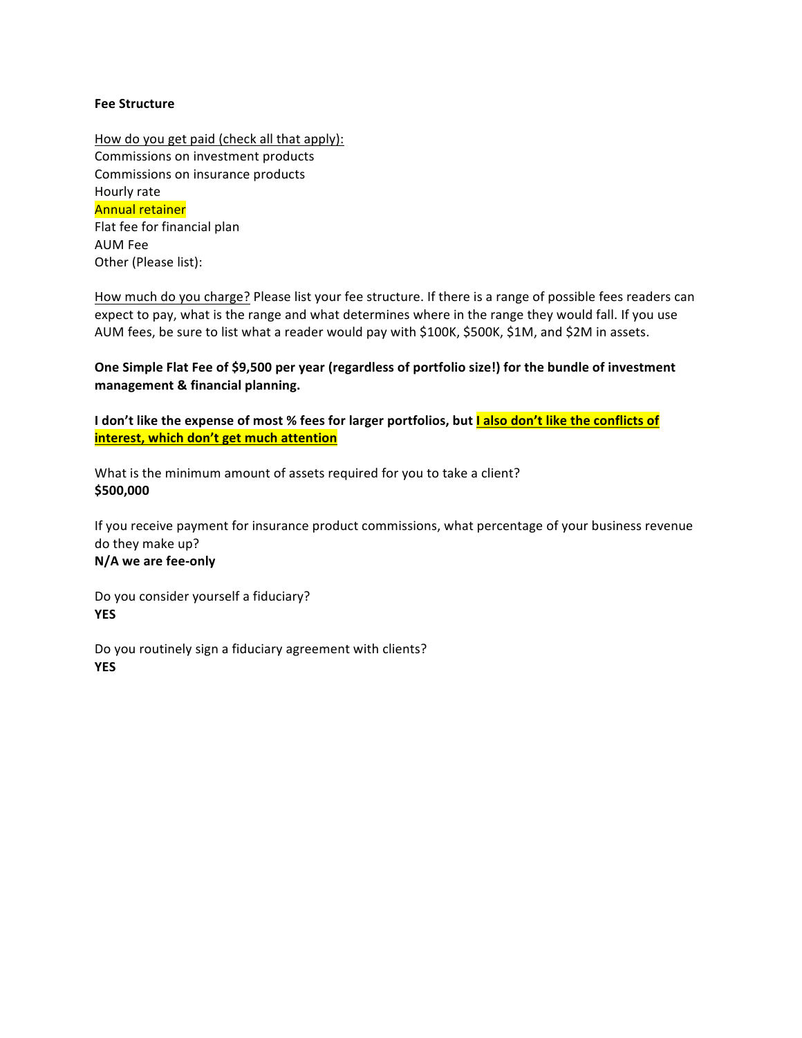#### **Fee Structure**

How do you get paid (check all that apply): Commissions on investment products Commissions on insurance products Hourly rate **Annual retainer** Flat fee for financial plan AUM Fee Other (Please list):

How much do you charge? Please list your fee structure. If there is a range of possible fees readers can expect to pay, what is the range and what determines where in the range they would fall. If you use AUM fees, be sure to list what a reader would pay with \$100K, \$500K, \$1M, and \$2M in assets.

One Simple Flat Fee of \$9,500 per year (regardless of portfolio size!) for the bundle of investment **management & financial planning.**

I don't like the expense of most % fees for larger portfolios, but **Lalso don't like the conflicts of interest, which don't get much attention** 

What is the minimum amount of assets required for you to take a client? **\$500,000**

If you receive payment for insurance product commissions, what percentage of your business revenue do they make up?

# **N/A we are fee-only**

Do you consider yourself a fiduciary? **YES**

Do you routinely sign a fiduciary agreement with clients? **YES**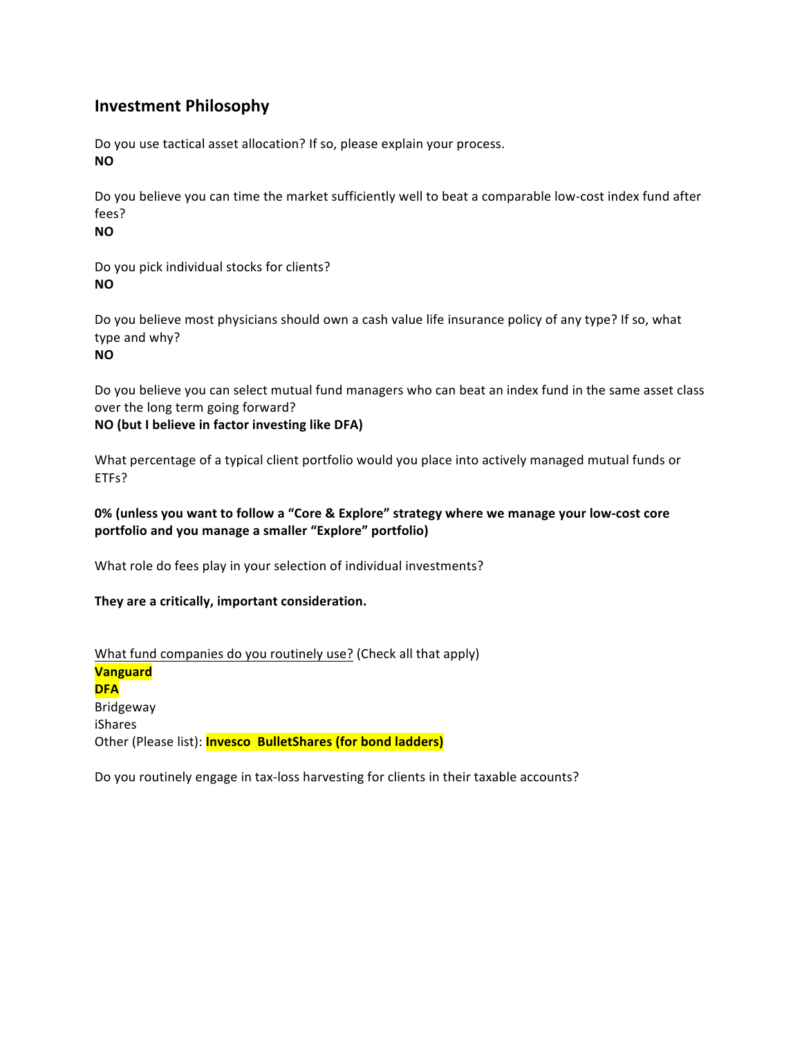# **Investment Philosophy**

Do you use tactical asset allocation? If so, please explain your process. **NO**

Do you believe you can time the market sufficiently well to beat a comparable low-cost index fund after fees?

**NO**

Do you pick individual stocks for clients? **NO**

Do you believe most physicians should own a cash value life insurance policy of any type? If so, what type and why?

**NO**

Do you believe you can select mutual fund managers who can beat an index fund in the same asset class over the long term going forward?

### **NO** (but I believe in factor investing like DFA)

What percentage of a typical client portfolio would you place into actively managed mutual funds or ETFs?

### 0% (unless you want to follow a "Core & Explore" strategy where we manage your low-cost core portfolio and you manage a smaller "Explore" portfolio)

What role do fees play in your selection of individual investments?

#### They are a critically, important consideration.

What fund companies do you routinely use? (Check all that apply) **Vanguard DFA** Bridgeway iShares Other (Please list): **Invesco BulletShares (for bond ladders)** 

Do you routinely engage in tax-loss harvesting for clients in their taxable accounts?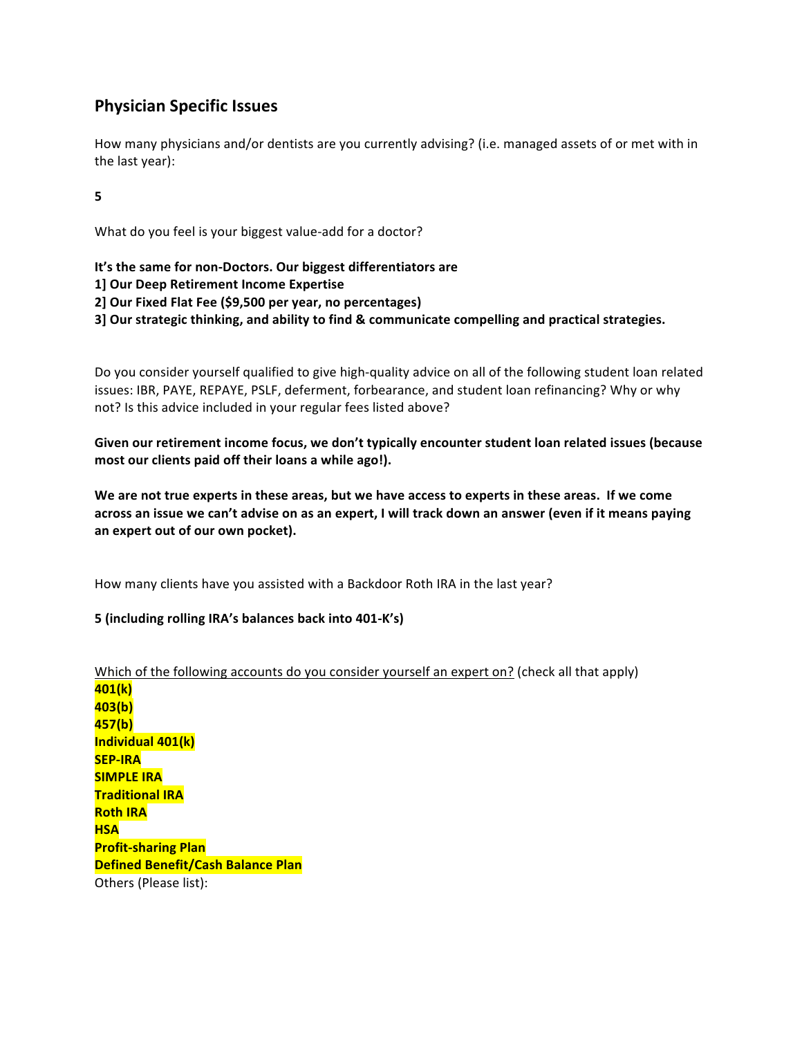# **Physician Specific Issues**

How many physicians and/or dentists are you currently advising? (i.e. managed assets of or met with in the last year):

**5**

What do you feel is your biggest value-add for a doctor?

It's the same for non-Doctors. Our biggest differentiators are

**1] Our Deep Retirement Income Expertise** 

**2] Our Fixed Flat Fee (\$9,500 per year, no percentages)**

**3] Our strategic thinking, and ability to find & communicate compelling and practical strategies.** 

Do you consider yourself qualified to give high-quality advice on all of the following student loan related issues: IBR, PAYE, REPAYE, PSLF, deferment, forbearance, and student loan refinancing? Why or why not? Is this advice included in your regular fees listed above?

Given our retirement income focus, we don't typically encounter student loan related issues (because most our clients paid off their loans a while ago!).

We are not true experts in these areas, but we have access to experts in these areas. If we come across an issue we can't advise on as an expert, I will track down an answer (even if it means paying **an expert out of our own pocket).**

How many clients have you assisted with a Backdoor Roth IRA in the last year?

#### **5 (including rolling IRA's balances back into 401-K's)**

Which of the following accounts do you consider yourself an expert on? (check all that apply) **401(k) 403(b) 457(b) Individual 401(k) SEP-IRA SIMPLE IRA Traditional IRA Roth IRA HSA Profit-sharing Plan Defined Benefit/Cash Balance Plan** Others (Please list):